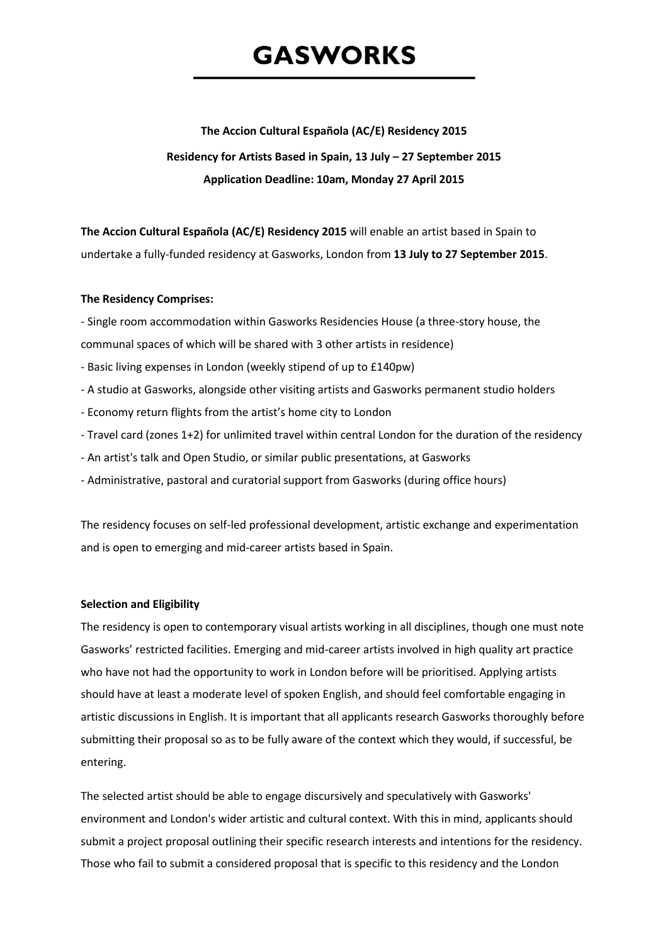# **GASWORKS**

# **The Accion Cultural Española (AC/E) Residency 2015**

# **Residency for Artists Based in Spain, 13 July – 27 September 2015 Application Deadline: 10am, Monday 27 April 2015**

**The Accion Cultural Española (AC/E) Residency 2015** will enable an artist based in Spain to undertake a fully-funded residency at Gasworks, London from **13 July to 27 September 2015**.

# **The Residency Comprises:**

- Single room accommodation within Gasworks Residencies House (a three-story house, the communal spaces of which will be shared with 3 other artists in residence)

- Basic living expenses in London (weekly stipend of up to £140pw)
- A studio at Gasworks, alongside other visiting artists and Gasworks permanent studio holders
- Economy return flights from the artist's home city to London
- Travel card (zones 1+2) for unlimited travel within central London for the duration of the residency
- An artist's talk and Open Studio, or similar public presentations, at Gasworks
- Administrative, pastoral and curatorial support from Gasworks (during office hours)

The residency focuses on self-led professional development, artistic exchange and experimentation and is open to emerging and mid-career artists based in Spain.

# **Selection and Eligibility**

The residency is open to contemporary visual artists working in all disciplines, though one must note Gasworks' restricted facilities. Emerging and mid-career artists involved in high quality art practice who have not had the opportunity to work in London before will be prioritised. Applying artists should have at least a moderate level of spoken English, and should feel comfortable engaging in artistic discussions in English. It is important that all applicants research Gasworks thoroughly before submitting their proposal so as to be fully aware of the context which they would, if successful, be entering.

The selected artist should be able to engage discursively and speculatively with Gasworks' environment and London's wider artistic and cultural context. With this in mind, applicants should submit a project proposal outlining their specific research interests and intentions for the residency. Those who fail to submit a considered proposal that is specific to this residency and the London